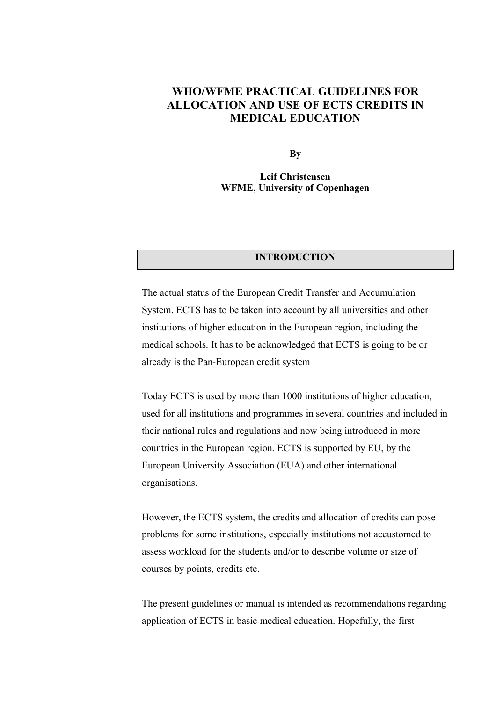### **WHO/WFME PRACTICAL GUIDELINES FOR ALLOCATION AND USE OF ECTS CREDITS IN MEDICAL EDUCATION**

**By**

**Leif Christensen WFME, University of Copenhagen**

#### **INTRODUCTION**

The actual status of the European Credit Transfer and Accumulation System, ECTS has to be taken into account by all universities and other institutions of higher education in the European region, including the medical schools. It has to be acknowledged that ECTS is going to be or already is the Pan-European credit system

Today ECTS is used by more than 1000 institutions of higher education, used for all institutions and programmes in several countries and included in their national rules and regulations and now being introduced in more countries in the European region. ECTS is supported by EU, by the European University Association (EUA) and other international organisations.

However, the ECTS system, the credits and allocation of credits can pose problems for some institutions, especially institutions not accustomed to assess workload for the students and/or to describe volume or size of courses by points, credits etc.

The present guidelines or manual is intended as recommendations regarding application of ECTS in basic medical education. Hopefully, the first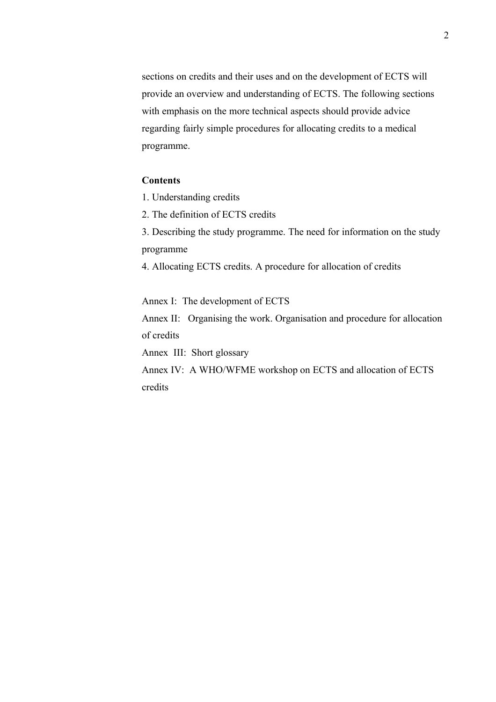sections on credits and their uses and on the development of ECTS will provide an overview and understanding of ECTS. The following sections with emphasis on the more technical aspects should provide advice regarding fairly simple procedures for allocating credits to a medical programme.

#### **Contents**

- 1. Understanding credits
- 2. The definition of ECTS credits
- 3. Describing the study programme. The need for information on the study programme
- 4. Allocating ECTS credits. A procedure for allocation of credits

Annex I: The development of ECTS

Annex II: Organising the work. Organisation and procedure for allocation of credits

Annex III: Short glossary

Annex IV: A WHO/WFME workshop on ECTS and allocation of ECTS credits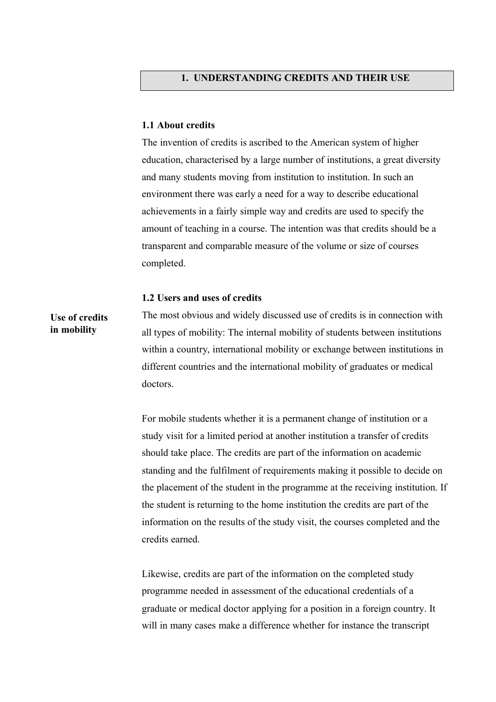#### **1.1 About credits**

The invention of credits is ascribed to the American system of higher education, characterised by a large number of institutions, a great diversity and many students moving from institution to institution. In such an environment there was early a need for a way to describe educational achievements in a fairly simple way and credits are used to specify the amount of teaching in a course. The intention was that credits should be a transparent and comparable measure of the volume or size of courses completed.

#### **1.2 Users and uses of credits**

**Use of credits in mobility**

The most obvious and widely discussed use of credits is in connection with all types of mobility: The internal mobility of students between institutions within a country, international mobility or exchange between institutions in different countries and the international mobility of graduates or medical doctors.

For mobile students whether it is a permanent change of institution or a study visit for a limited period at another institution a transfer of credits should take place. The credits are part of the information on academic standing and the fulfilment of requirements making it possible to decide on the placement of the student in the programme at the receiving institution. If the student is returning to the home institution the credits are part of the information on the results of the study visit, the courses completed and the credits earned.

Likewise, credits are part of the information on the completed study programme needed in assessment of the educational credentials of a graduate or medical doctor applying for a position in a foreign country. It will in many cases make a difference whether for instance the transcript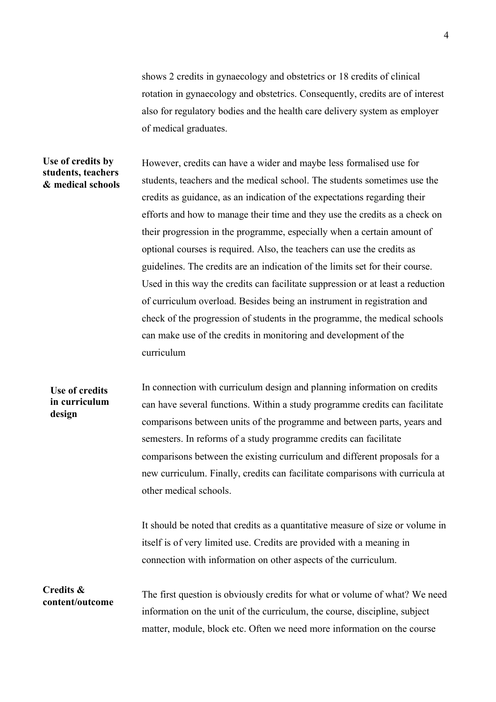shows 2 credits in gynaecology and obstetrics or 18 credits of clinical rotation in gynaecology and obstetrics. Consequently, credits are of interest also for regulatory bodies and the health care delivery system as employer of medical graduates.

#### **Use of credits by students, teachers & medical schools**

However, credits can have a wider and maybe less formalised use for students, teachers and the medical school. The students sometimes use the credits as guidance, as an indication of the expectations regarding their efforts and how to manage their time and they use the credits as a check on their progression in the programme, especially when a certain amount of optional courses is required. Also, the teachers can use the credits as guidelines. The credits are an indication of the limits set for their course. Used in this way the credits can facilitate suppression or at least a reduction of curriculum overload. Besides being an instrument in registration and check of the progression of students in the programme, the medical schools can make use of the credits in monitoring and development of the curriculum

### In connection with curriculum design and planning information on credits can have several functions. Within a study programme credits can facilitate comparisons between units of the programme and between parts, years and semesters. In reforms of a study programme credits can facilitate comparisons between the existing curriculum and different proposals for a new curriculum. Finally, credits can facilitate comparisons with curricula at other medical schools. **Use of credits in curriculum design**

It should be noted that credits as a quantitative measure of size or volume in itself is of very limited use. Credits are provided with a meaning in connection with information on other aspects of the curriculum.

**Credits & content/outcome**

The first question is obviously credits for what or volume of what? We need information on the unit of the curriculum, the course, discipline, subject matter, module, block etc. Often we need more information on the course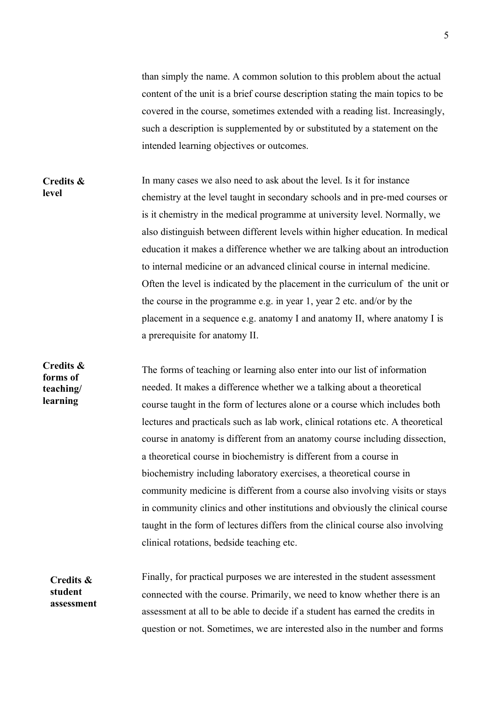than simply the name. A common solution to this problem about the actual content of the unit is a brief course description stating the main topics to be covered in the course, sometimes extended with a reading list. Increasingly, such a description is supplemented by or substituted by a statement on the intended learning objectives or outcomes.

In many cases we also need to ask about the level. Is it for instance chemistry at the level taught in secondary schools and in pre-med courses or is it chemistry in the medical programme at university level. Normally, we also distinguish between different levels within higher education. In medical education it makes a difference whether we are talking about an introduction to internal medicine or an advanced clinical course in internal medicine. Often the level is indicated by the placement in the curriculum of the unit or the course in the programme e.g. in year 1, year 2 etc. and/or by the placement in a sequence e.g. anatomy I and anatomy II, where anatomy I is a prerequisite for anatomy II. **Credits & level**

The forms of teaching or learning also enter into our list of information needed. It makes a difference whether we a talking about a theoretical course taught in the form of lectures alone or a course which includes both lectures and practicals such as lab work, clinical rotations etc. A theoretical course in anatomy is different from an anatomy course including dissection, a theoretical course in biochemistry is different from a course in biochemistry including laboratory exercises, a theoretical course in community medicine is different from a course also involving visits or stays in community clinics and other institutions and obviously the clinical course taught in the form of lectures differs from the clinical course also involving clinical rotations, bedside teaching etc. **Credits & forms of teaching/ learning**

Finally, for practical purposes we are interested in the student assessment connected with the course. Primarily, we need to know whether there is an assessment at all to be able to decide if a student has earned the credits in question or not. Sometimes, we are interested also in the number and forms **Credits & student assessment**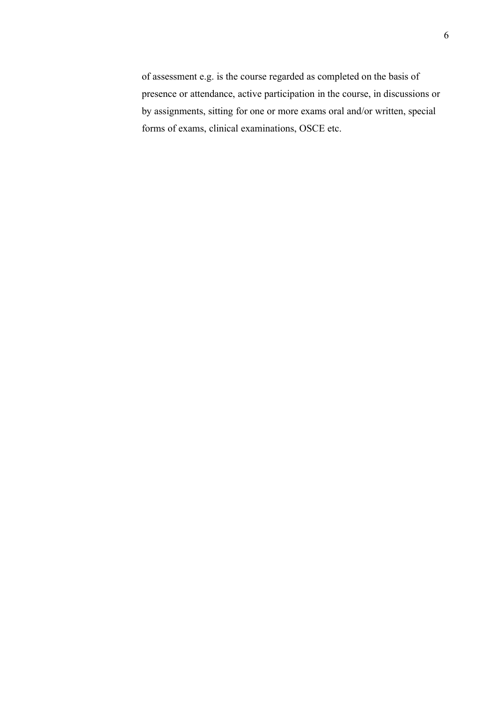of assessment e.g. is the course regarded as completed on the basis of presence or attendance, active participation in the course, in discussions or by assignments, sitting for one or more exams oral and/or written, special forms of exams, clinical examinations, OSCE etc.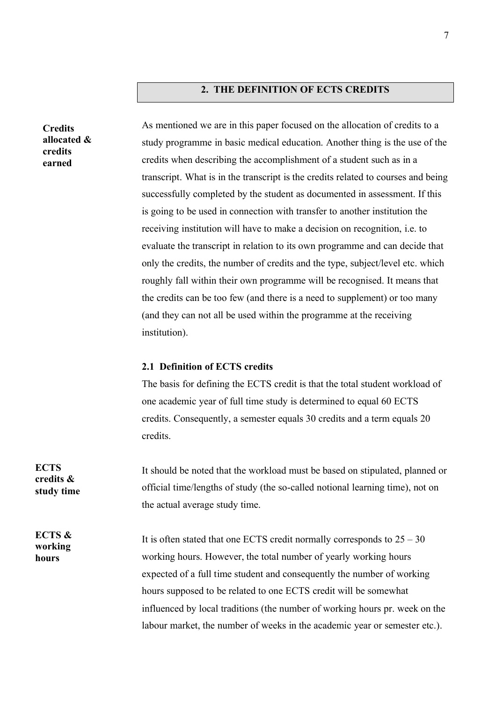#### **2. THE DEFINITION OF ECTS CREDITS**

As mentioned we are in this paper focused on the allocation of credits to a study programme in basic medical education. Another thing is the use of the credits when describing the accomplishment of a student such as in a transcript. What is in the transcript is the credits related to courses and being successfully completed by the student as documented in assessment. If this is going to be used in connection with transfer to another institution the receiving institution will have to make a decision on recognition, i.e. to evaluate the transcript in relation to its own programme and can decide that only the credits, the number of credits and the type, subject/level etc. which roughly fall within their own programme will be recognised. It means that the credits can be too few (and there is a need to supplement) or too many (and they can not all be used within the programme at the receiving institution).

#### **2.1 Definition of ECTS credits**

The basis for defining the ECTS credit is that the total student workload of one academic year of full time study is determined to equal 60 ECTS credits. Consequently, a semester equals 30 credits and a term equals 20 credits.

It should be noted that the workload must be based on stipulated, planned or official time/lengths of study (the so-called notional learning time), not on the actual average study time.

It is often stated that one ECTS credit normally corresponds to  $25 - 30$ working hours. However, the total number of yearly working hours expected of a full time student and consequently the number of working hours supposed to be related to one ECTS credit will be somewhat influenced by local traditions (the number of working hours pr. week on the labour market, the number of weeks in the academic year or semester etc.).

**ECTS credits & study time**

**Credits allocated & credits earned**

**ECTS & working hours**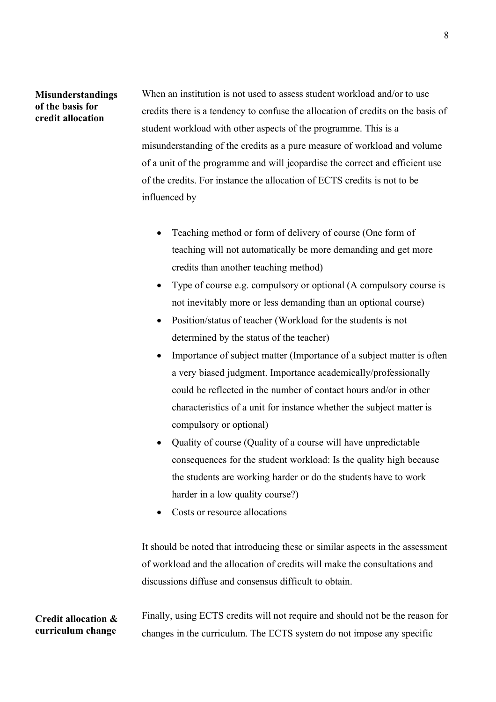#### **Misunderstandings of the basis for credit allocation**

When an institution is not used to assess student workload and/or to use credits there is a tendency to confuse the allocation of credits on the basis of student workload with other aspects of the programme. This is a misunderstanding of the credits as a pure measure of workload and volume of a unit of the programme and will jeopardise the correct and efficient use of the credits. For instance the allocation of ECTS credits is not to be influenced by

- Teaching method or form of delivery of course (One form of teaching will not automatically be more demanding and get more credits than another teaching method)
- Type of course e.g. compulsory or optional (A compulsory course is not inevitably more or less demanding than an optional course)
- Position/status of teacher (Workload for the students is not determined by the status of the teacher)
- Importance of subject matter (Importance of a subject matter is often a very biased judgment. Importance academically/professionally could be reflected in the number of contact hours and/or in other characteristics of a unit for instance whether the subject matter is compulsory or optional)
- Ouality of course (Quality of a course will have unpredictable consequences for the student workload: Is the quality high because the students are working harder or do the students have to work harder in a low quality course?)
- Costs or resource allocations

It should be noted that introducing these or similar aspects in the assessment of workload and the allocation of credits will make the consultations and discussions diffuse and consensus difficult to obtain.

Finally, using ECTS credits will not require and should not be the reason for changes in the curriculum. The ECTS system do not impose any specific **Credit allocation & curriculum change**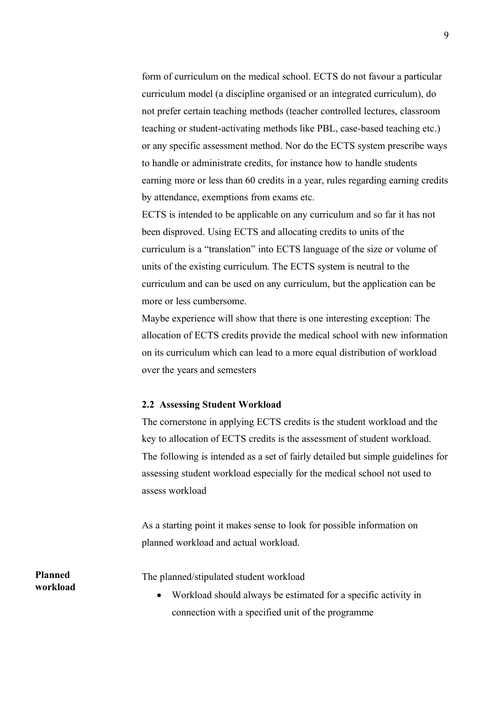form of curriculum on the medical school. ECTS do not favour a particular curriculum model (a discipline organised or an integrated curriculum), do not prefer certain teaching methods (teacher controlled lectures, classroom teaching or student-activating methods like PBL, case-based teaching etc.) or any specific assessment method. Nor do the ECTS system prescribe ways to handle or administrate credits, for instance how to handle students earning more or less than 60 credits in a year, rules regarding earning credits by attendance, exemptions from exams etc.

ECTS is intended to be applicable on any curriculum and so far it has not been disproved. Using ECTS and allocating credits to units of the curriculum is a "translation" into ECTS language of the size or volume of units of the existing curriculum. The ECTS system is neutral to the curriculum and can be used on any curriculum, but the application can be more or less cumbersome.

Maybe experience will show that there is one interesting exception: The allocation of ECTS credits provide the medical school with new information on its curriculum which can lead to a more equal distribution of workload over the years and semesters

#### **2.2 Assessing Student Workload**

The cornerstone in applying ECTS credits is the student workload and the key to allocation of ECTS credits is the assessment of student workload. The following is intended as a set of fairly detailed but simple guidelines for assessing student workload especially for the medical school not used to assess workload

As a starting point it makes sense to look for possible information on planned workload and actual workload.

The planned/stipulated student workload

 Workload should always be estimated for a specific activity in connection with a specified unit of the programme

**Planned workload**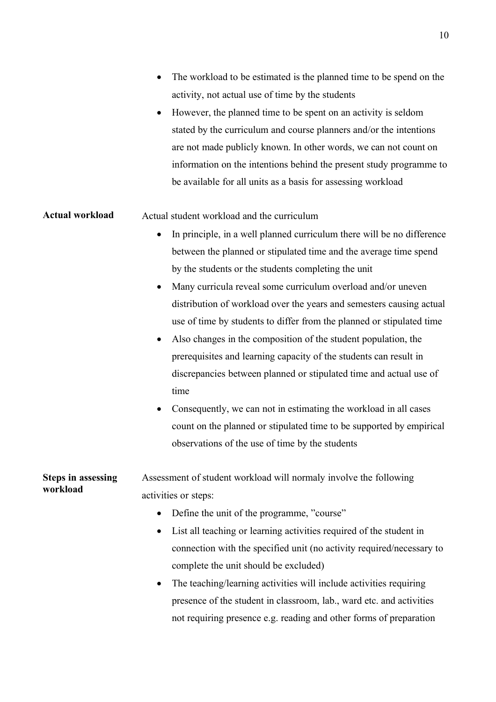|                           | The workload to be estimated is the planned time to be spend on the                 |
|---------------------------|-------------------------------------------------------------------------------------|
|                           | activity, not actual use of time by the students                                    |
|                           | However, the planned time to be spent on an activity is seldom<br>٠                 |
|                           | stated by the curriculum and course planners and/or the intentions                  |
|                           | are not made publicly known. In other words, we can not count on                    |
|                           | information on the intentions behind the present study programme to                 |
|                           | be available for all units as a basis for assessing workload                        |
| <b>Actual workload</b>    | Actual student workload and the curriculum                                          |
|                           | In principle, in a well planned curriculum there will be no difference<br>$\bullet$ |
|                           | between the planned or stipulated time and the average time spend                   |
|                           | by the students or the students completing the unit                                 |
|                           | Many curricula reveal some curriculum overload and/or uneven                        |
|                           | distribution of workload over the years and semesters causing actual                |
|                           | use of time by students to differ from the planned or stipulated time               |
|                           | Also changes in the composition of the student population, the<br>$\bullet$         |
|                           | prerequisites and learning capacity of the students can result in                   |
|                           | discrepancies between planned or stipulated time and actual use of                  |
|                           | time                                                                                |
|                           | Consequently, we can not in estimating the workload in all cases<br>$\bullet$       |
|                           | count on the planned or stipulated time to be supported by empirical                |
|                           | observations of the use of time by the students                                     |
| <b>Steps in assessing</b> | Assessment of student workload will normaly involve the following                   |
| workload                  | activities or steps:                                                                |
|                           | Define the unit of the programme, "course"                                          |
|                           | List all teaching or learning activities required of the student in<br>٠            |
|                           | connection with the specified unit (no activity required/necessary to               |
|                           | complete the unit should be excluded)                                               |
|                           | The teaching/learning activities will include activities requiring<br>٠             |
|                           | presence of the student in classroom, lab., ward etc. and activities                |
|                           | not requiring presence e.g. reading and other forms of preparation                  |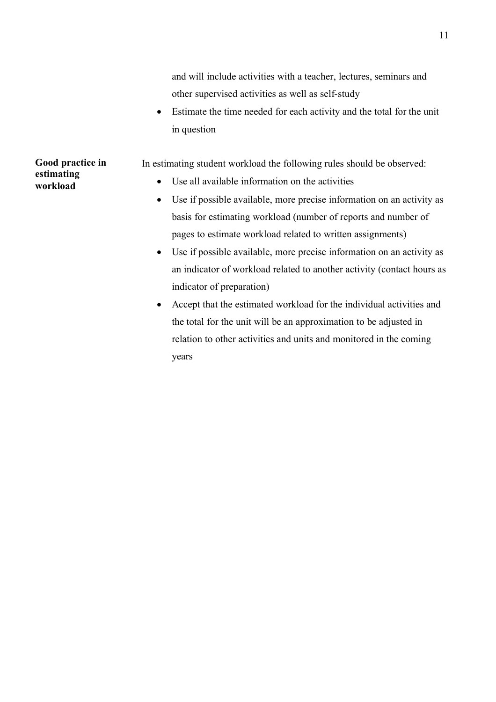and will include activities with a teacher, lectures, seminars and other supervised activities as well as self-study

 Estimate the time needed for each activity and the total for the unit in question

In estimating student workload the following rules should be observed:

- Use all available information on the activities
- Use if possible available, more precise information on an activity as basis for estimating workload (number of reports and number of pages to estimate workload related to written assignments)
- Use if possible available, more precise information on an activity as an indicator of workload related to another activity (contact hours as indicator of preparation)
- Accept that the estimated workload for the individual activities and the total for the unit will be an approximation to be adjusted in relation to other activities and units and monitored in the coming years

### **Good practice in estimating workload**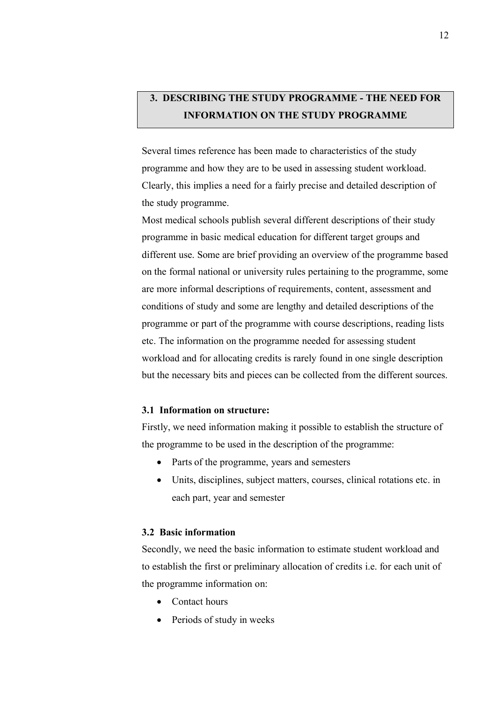# **3. DESCRIBING THE STUDY PROGRAMME - THE NEED FOR INFORMATION ON THE STUDY PROGRAMME**

Several times reference has been made to characteristics of the study programme and how they are to be used in assessing student workload. Clearly, this implies a need for a fairly precise and detailed description of the study programme.

Most medical schools publish several different descriptions of their study programme in basic medical education for different target groups and different use. Some are brief providing an overview of the programme based on the formal national or university rules pertaining to the programme, some are more informal descriptions of requirements, content, assessment and conditions of study and some are lengthy and detailed descriptions of the programme or part of the programme with course descriptions, reading lists etc. The information on the programme needed for assessing student workload and for allocating credits is rarely found in one single description but the necessary bits and pieces can be collected from the different sources.

#### **3.1 Information on structure:**

Firstly, we need information making it possible to establish the structure of the programme to be used in the description of the programme:

- Parts of the programme, years and semesters
- Units, disciplines, subject matters, courses, clinical rotations etc. in each part, year and semester

#### **3.2 Basic information**

Secondly, we need the basic information to estimate student workload and to establish the first or preliminary allocation of credits i.e. for each unit of the programme information on:

- Contact hours
- Periods of study in weeks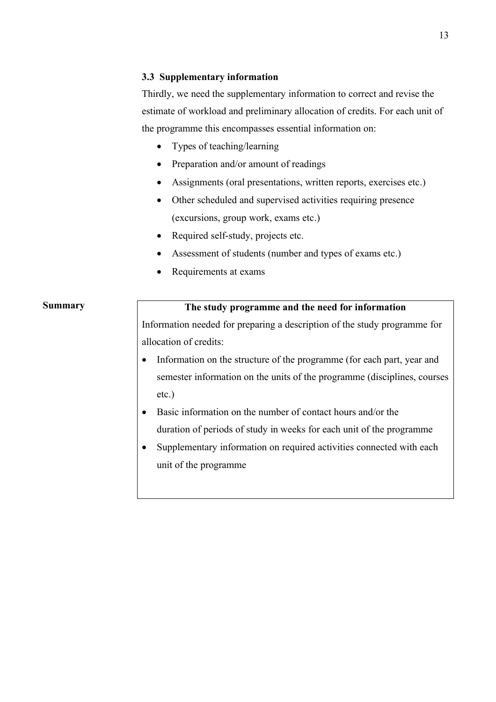#### **3.3 Supplementary information**

Thirdly, we need the supplementary information to correct and revise the estimate of workload and preliminary allocation of credits. For each unit of the programme this encompasses essential information on:

- Types of teaching/learning
- Preparation and/or amount of readings
- Assignments (oral presentations, written reports, exercises etc.)
- Other scheduled and supervised activities requiring presence (excursions, group work, exams etc.)
- Required self-study, projects etc.
- Assessment of students (number and types of exams etc.)
- Requirements at exams

### **Summary**

### **The study programme and the need for information**

Information needed for preparing a description of the study programme for allocation of credits:

- Information on the structure of the programme (for each part, year and semester information on the units of the programme (disciplines, courses etc.)
- Basic information on the number of contact hours and/or the duration of periods of study in weeks for each unit of the programme
- Supplementary information on required activities connected with each unit of the programme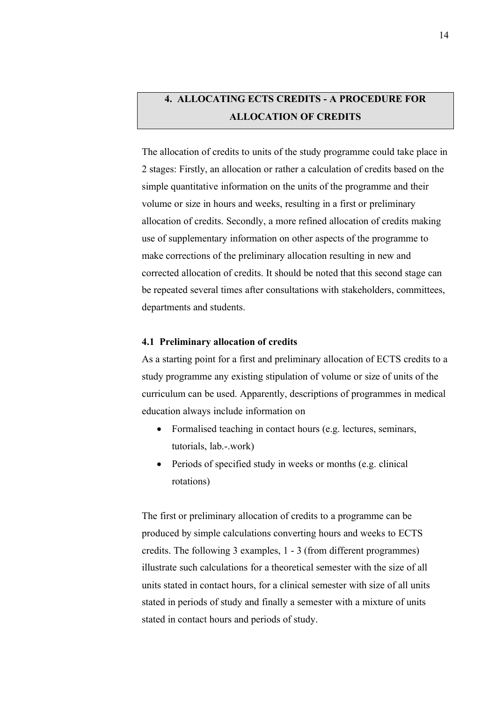# **4. ALLOCATING ECTS CREDITS - A PROCEDURE FOR ALLOCATION OF CREDITS**

The allocation of credits to units of the study programme could take place in 2 stages: Firstly, an allocation or rather a calculation of credits based on the simple quantitative information on the units of the programme and their volume or size in hours and weeks, resulting in a first or preliminary allocation of credits. Secondly, a more refined allocation of credits making use of supplementary information on other aspects of the programme to make corrections of the preliminary allocation resulting in new and corrected allocation of credits. It should be noted that this second stage can be repeated several times after consultations with stakeholders, committees, departments and students.

#### **4.1 Preliminary allocation of credits**

As a starting point for a first and preliminary allocation of ECTS credits to a study programme any existing stipulation of volume or size of units of the curriculum can be used. Apparently, descriptions of programmes in medical education always include information on

- Formalised teaching in contact hours (e.g. lectures, seminars, tutorials, lab.-.work)
- Periods of specified study in weeks or months (e.g. clinical rotations)

The first or preliminary allocation of credits to a programme can be produced by simple calculations converting hours and weeks to ECTS credits. The following 3 examples, 1 - 3 (from different programmes) illustrate such calculations for a theoretical semester with the size of all units stated in contact hours, for a clinical semester with size of all units stated in periods of study and finally a semester with a mixture of units stated in contact hours and periods of study.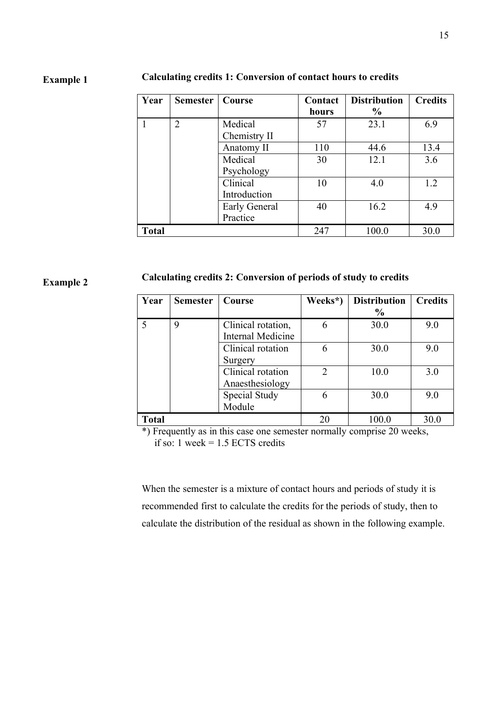### **Example 1**

#### **Calculating credits 1: Conversion of contact hours to credits**

| Year         | <b>Semester</b> | Course                   | Contact<br>hours | <b>Distribution</b><br>$\frac{6}{9}$ | <b>Credits</b> |
|--------------|-----------------|--------------------------|------------------|--------------------------------------|----------------|
|              | 2               | Medical<br>Chemistry II  | 57               | 23.1                                 | 6.9            |
|              |                 | Anatomy II               | 110              | 44.6                                 | 13.4           |
|              |                 | Medical                  | 30               | 12.1                                 | 3.6            |
|              |                 | Psychology               |                  |                                      |                |
|              |                 | Clinical<br>Introduction | 10               | 4.0                                  | 1.2            |
|              |                 | Early General            | 40               | 16.2                                 | 4.9            |
|              |                 | Practice                 |                  |                                      |                |
| <b>Total</b> |                 |                          | 247              | 100.0                                | 30.0           |

### **Example 2**

#### **Calculating credits 2: Conversion of periods of study to credits**

| Year         | <b>Semester</b> | Course                   | Weeks*)        | <b>Distribution</b> | <b>Credits</b> |
|--------------|-----------------|--------------------------|----------------|---------------------|----------------|
|              |                 |                          |                | $\frac{6}{9}$       |                |
| 5            | 9               | Clinical rotation,       | 6              | 30.0                | 9.0            |
|              |                 | <b>Internal Medicine</b> |                |                     |                |
|              |                 | Clinical rotation        | 6              | 30.0                | 9.0            |
|              |                 | Surgery                  |                |                     |                |
|              |                 | Clinical rotation        | $\overline{2}$ | 10.0                | 3.0            |
|              |                 | Anaesthesiology          |                |                     |                |
|              |                 | Special Study            | 6              | 30.0                | 9.0            |
|              |                 | Module                   |                |                     |                |
| <b>Total</b> |                 |                          | 20             | 100.0               | 30.0           |

\*) Frequently as in this case one semester normally comprise 20 weeks, if so: 1 week  $= 1.5$  ECTS credits

When the semester is a mixture of contact hours and periods of study it is recommended first to calculate the credits for the periods of study, then to calculate the distribution of the residual as shown in the following example.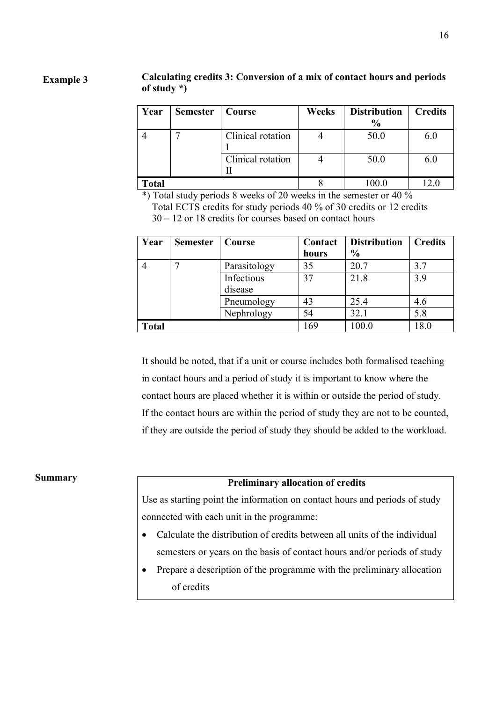#### **Calculating credits 3: Conversion of a mix of contact hours and periods of study \*) Example 3**

| Year         | <b>Semester</b> | Course            | Weeks | <b>Distribution</b><br>$\frac{6}{9}$ | <b>Credits</b> |
|--------------|-----------------|-------------------|-------|--------------------------------------|----------------|
|              |                 | Clinical rotation |       | 50.0                                 | 6.0            |
|              |                 | Clinical rotation |       | 50.0                                 | 6.0            |
| <b>Total</b> |                 |                   |       | 00.0                                 |                |

\*) Total study periods 8 weeks of 20 weeks in the semester or 40 %

Total ECTS credits for study periods 40 % of 30 credits or 12 credits 30 – 12 or 18 credits for courses based on contact hours

| Year         | <b>Semester</b> | Course       | Contact<br>hours | <b>Distribution</b><br>$\frac{6}{6}$ | <b>Credits</b> |
|--------------|-----------------|--------------|------------------|--------------------------------------|----------------|
|              |                 | Parasitology | 35               | 20.7                                 | 3.7            |
|              |                 | Infectious   | 37               | 21.8                                 | 3.9            |
|              |                 | disease      |                  |                                      |                |
|              |                 | Pneumology   | 43               | 25.4                                 | 4.6            |
|              |                 | Nephrology   | 54               | 32.1                                 | 5.8            |
| <b>Total</b> |                 |              | 169              | 100.0                                | 18.0           |

It should be noted, that if a unit or course includes both formalised teaching in contact hours and a period of study it is important to know where the contact hours are placed whether it is within or outside the period of study. If the contact hours are within the period of study they are not to be counted, if they are outside the period of study they should be added to the workload.

#### **Summary**

#### **Preliminary allocation of credits**

Use as starting point the information on contact hours and periods of study connected with each unit in the programme:

- Calculate the distribution of credits between all units of the individual semesters or years on the basis of contact hours and/or periods of study
- Prepare a description of the programme with the preliminary allocation of credits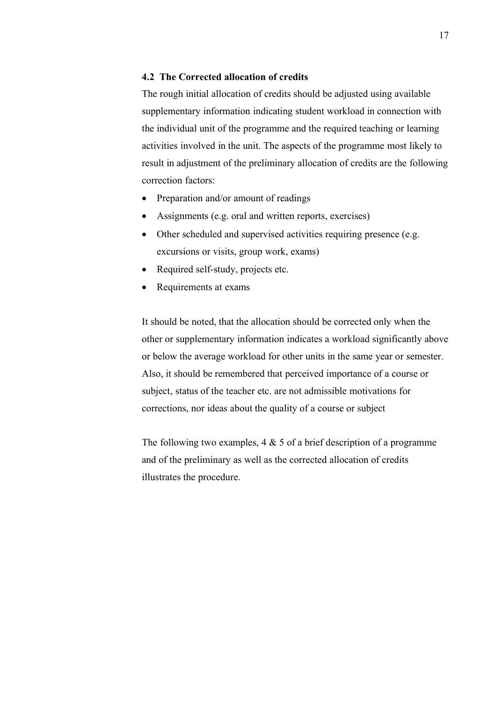#### **4.2 The Corrected allocation of credits**

The rough initial allocation of credits should be adjusted using available supplementary information indicating student workload in connection with the individual unit of the programme and the required teaching or learning activities involved in the unit. The aspects of the programme most likely to result in adjustment of the preliminary allocation of credits are the following correction factors:

- Preparation and/or amount of readings
- Assignments (e.g. oral and written reports, exercises)
- Other scheduled and supervised activities requiring presence (e.g. excursions or visits, group work, exams)
- Required self-study, projects etc.
- Requirements at exams

It should be noted, that the allocation should be corrected only when the other or supplementary information indicates a workload significantly above or below the average workload for other units in the same year or semester. Also, it should be remembered that perceived importance of a course or subject, status of the teacher etc. are not admissible motivations for corrections, nor ideas about the quality of a course or subject

The following two examples,  $4 \& 5$  of a brief description of a programme and of the preliminary as well as the corrected allocation of credits illustrates the procedure.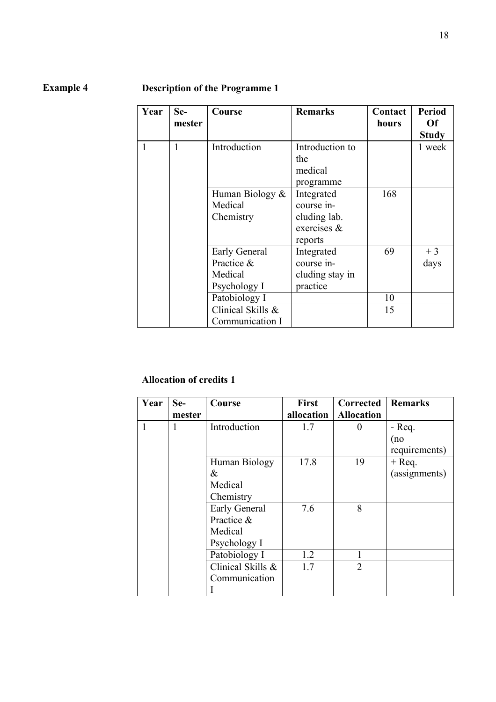## **Example 4**

## **Description of the Programme 1**

| Year | Se-<br>mester | Course                                                 | <b>Remarks</b>                                                        | Contact<br>hours | <b>Period</b><br>Of<br><b>Study</b> |
|------|---------------|--------------------------------------------------------|-----------------------------------------------------------------------|------------------|-------------------------------------|
|      | 1             | Introduction                                           | Introduction to<br>the<br>medical<br>programme                        |                  | 1 week                              |
|      |               | Human Biology &<br>Medical<br>Chemistry                | Integrated<br>course in-<br>cluding lab.<br>exercises $\&$<br>reports | 168              |                                     |
|      |               | Early General<br>Practice &<br>Medical<br>Psychology I | Integrated<br>course in-<br>cluding stay in<br>practice               | 69               | $+3$<br>days                        |
|      |               | Patobiology I<br>Clinical Skills &<br>Communication I  |                                                                       | 10<br>15         |                                     |

### **Allocation of credits 1**

| Year | Se-    | Course               | First      | Corrected         | <b>Remarks</b> |
|------|--------|----------------------|------------|-------------------|----------------|
|      | mester |                      | allocation | <b>Allocation</b> |                |
|      | 1      | Introduction         | 1.7        | $\theta$          | $-$ Req.       |
|      |        |                      |            |                   | (no            |
|      |        |                      |            |                   | requirements)  |
|      |        | Human Biology        | 17.8       | 19                | $+$ Req.       |
|      |        | $\&$                 |            |                   | (assignments)  |
|      |        | Medical              |            |                   |                |
|      |        | Chemistry            |            |                   |                |
|      |        | <b>Early General</b> | 7.6        | 8                 |                |
|      |        | Practice &           |            |                   |                |
|      |        | Medical              |            |                   |                |
|      |        | Psychology I         |            |                   |                |
|      |        | Patobiology I        | 1.2        |                   |                |
|      |        | Clinical Skills &    | 1.7        | $\overline{2}$    |                |
|      |        | Communication        |            |                   |                |
|      |        |                      |            |                   |                |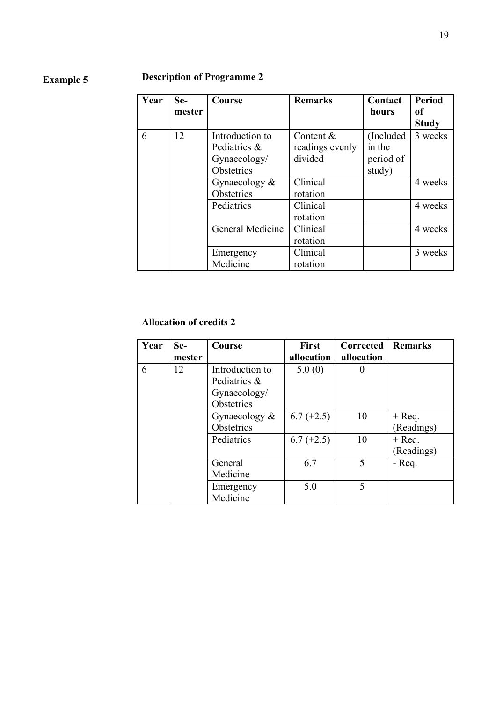#### **Description of Programme 2 Example 5**

| Year | Se-<br>mester | Course                                                        | <b>Remarks</b>                          | Contact<br>hours                            | <b>Period</b><br>оf<br><b>Study</b> |
|------|---------------|---------------------------------------------------------------|-----------------------------------------|---------------------------------------------|-------------------------------------|
| 6    | 12            | Introduction to<br>Pediatrics &<br>Gynaecology/<br>Obstetrics | Content &<br>readings evenly<br>divided | (Included)<br>in the<br>period of<br>study) | 3 weeks                             |
|      |               | Gynaecology $\&$<br>Obstetrics                                | Clinical<br>rotation                    |                                             | 4 weeks                             |
|      |               | Pediatrics                                                    | Clinical<br>rotation                    |                                             | 4 weeks                             |
|      |               | General Medicine                                              | Clinical<br>rotation                    |                                             | 4 weeks                             |
|      |               | Emergency<br>Medicine                                         | Clinical<br>rotation                    |                                             | 3 weeks                             |

### **Allocation of credits 2**

| Year | Se-    | <b>Course</b>                                   | First        | <b>Corrected</b> | <b>Remarks</b> |
|------|--------|-------------------------------------------------|--------------|------------------|----------------|
|      | mester |                                                 | allocation   | allocation       |                |
| 6    | 12     | Introduction to<br>Pediatrics &<br>Gynaecology/ | 5.0(0)       |                  |                |
|      |        | Obstetrics                                      |              |                  |                |
|      |        | Gynaecology $\&$                                | $6.7 (+2.5)$ | 10               | $+$ Req.       |
|      |        | Obstetrics                                      |              |                  | (Readings)     |
|      |        | Pediatrics                                      | $6.7 (+2.5)$ | 10               | $+$ Req.       |
|      |        |                                                 |              |                  | (Readings)     |
|      |        | General                                         | 6.7          | 5                | $-$ Req.       |
|      |        | Medicine                                        |              |                  |                |
|      |        | Emergency                                       | 5.0          | 5                |                |
|      |        | Medicine                                        |              |                  |                |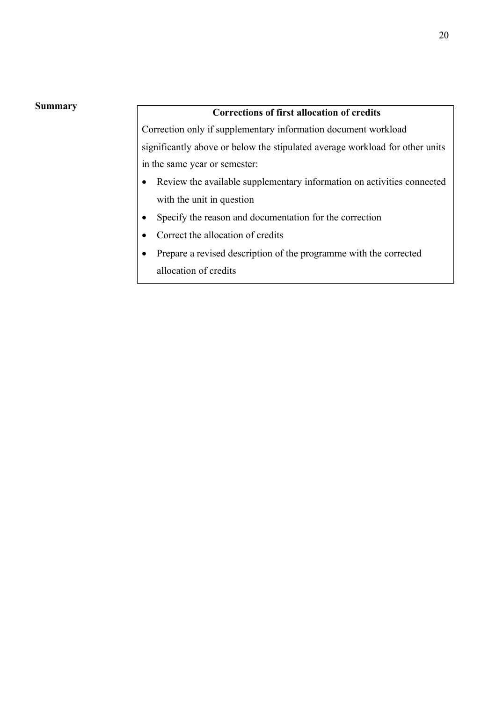#### **Summary**

### **Corrections of first allocation of credits**

Correction only if supplementary information document workload significantly above or below the stipulated average workload for other units in the same year or semester:

- Review the available supplementary information on activities connected with the unit in question
- Specify the reason and documentation for the correction
- Correct the allocation of credits
- Prepare a revised description of the programme with the corrected allocation of credits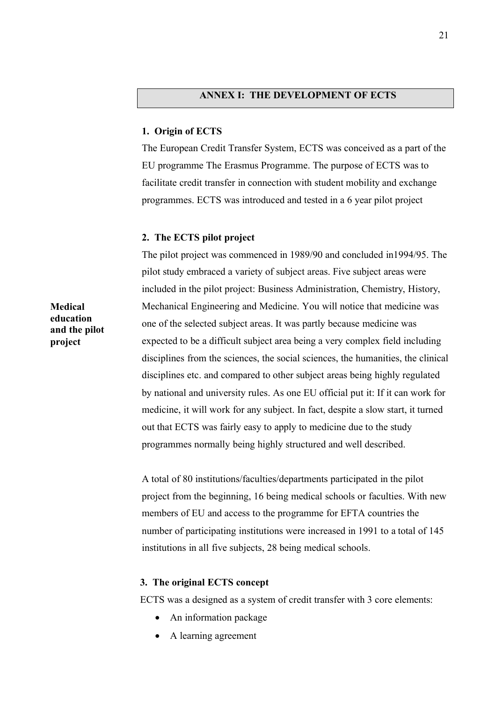#### **ANNEX I: THE DEVELOPMENT OF ECTS**

#### **1. Origin of ECTS**

The European Credit Transfer System, ECTS was conceived as a part of the EU programme The Erasmus Programme. The purpose of ECTS was to facilitate credit transfer in connection with student mobility and exchange programmes. ECTS was introduced and tested in a 6 year pilot project

#### **2. The ECTS pilot project**

The pilot project was commenced in 1989/90 and concluded in1994/95. The pilot study embraced a variety of subject areas. Five subject areas were included in the pilot project: Business Administration, Chemistry, History, Mechanical Engineering and Medicine. You will notice that medicine was one of the selected subject areas. It was partly because medicine was expected to be a difficult subject area being a very complex field including disciplines from the sciences, the social sciences, the humanities, the clinical disciplines etc. and compared to other subject areas being highly regulated by national and university rules. As one EU official put it: If it can work for medicine, it will work for any subject. In fact, despite a slow start, it turned out that ECTS was fairly easy to apply to medicine due to the study programmes normally being highly structured and well described.

A total of 80 institutions/faculties/departments participated in the pilot project from the beginning, 16 being medical schools or faculties. With new members of EU and access to the programme for EFTA countries the number of participating institutions were increased in 1991 to a total of 145 institutions in all five subjects, 28 being medical schools.

#### **3. The original ECTS concept**

ECTS was a designed as a system of credit transfer with 3 core elements:

- An information package
- A learning agreement

**Medical education and the pilot project**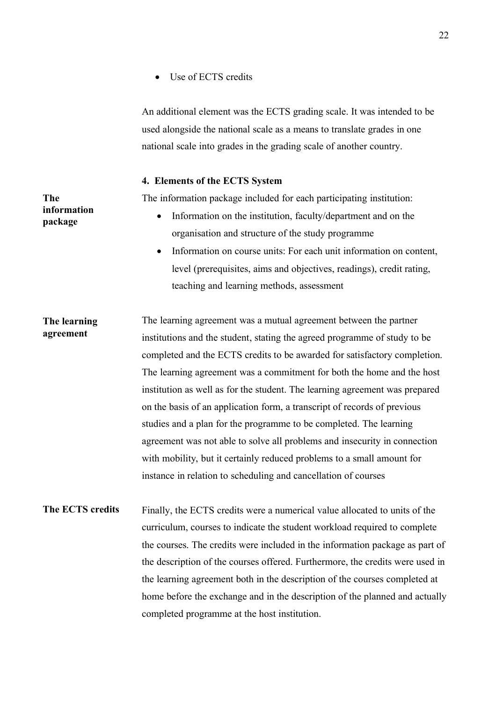• Use of ECTS credits

An additional element was the ECTS grading scale. It was intended to be used alongside the national scale as a means to translate grades in one national scale into grades in the grading scale of another country.

#### **4. Elements of the ECTS System**

**The** 

**information package**

The information package included for each participating institution:

- Information on the institution, faculty/department and on the organisation and structure of the study programme
- Information on course units: For each unit information on content, level (prerequisites, aims and objectives, readings), credit rating, teaching and learning methods, assessment
- The learning agreement was a mutual agreement between the partner institutions and the student, stating the agreed programme of study to be completed and the ECTS credits to be awarded for satisfactory completion. The learning agreement was a commitment for both the home and the host institution as well as for the student. The learning agreement was prepared on the basis of an application form, a transcript of records of previous studies and a plan for the programme to be completed. The learning agreement was not able to solve all problems and insecurity in connection with mobility, but it certainly reduced problems to a small amount for instance in relation to scheduling and cancellation of courses **The learning agreement**
- Finally, the ECTS credits were a numerical value allocated to units of the curriculum, courses to indicate the student workload required to complete the courses. The credits were included in the information package as part of the description of the courses offered. Furthermore, the credits were used in the learning agreement both in the description of the courses completed at home before the exchange and in the description of the planned and actually completed programme at the host institution. **The ECTS credits**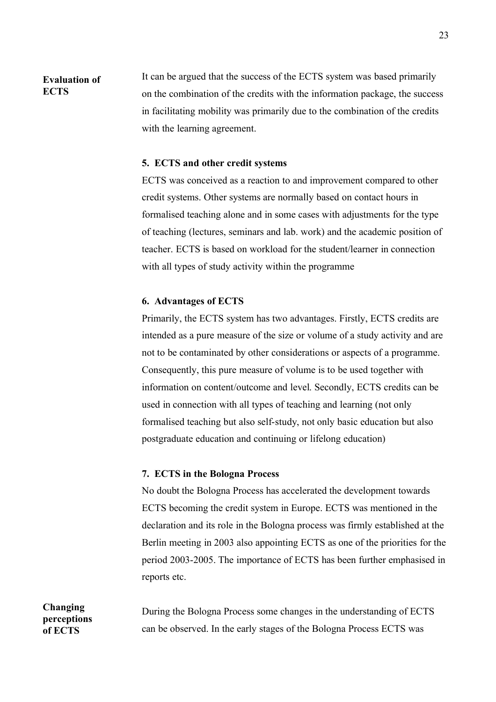#### **Evaluation of ECTS**

It can be argued that the success of the ECTS system was based primarily on the combination of the credits with the information package, the success in facilitating mobility was primarily due to the combination of the credits with the learning agreement.

#### **5. ECTS and other credit systems**

ECTS was conceived as a reaction to and improvement compared to other credit systems. Other systems are normally based on contact hours in formalised teaching alone and in some cases with adjustments for the type of teaching (lectures, seminars and lab. work) and the academic position of teacher. ECTS is based on workload for the student/learner in connection with all types of study activity within the programme

#### **6. Advantages of ECTS**

Primarily, the ECTS system has two advantages. Firstly, ECTS credits are intended as a pure measure of the size or volume of a study activity and are not to be contaminated by other considerations or aspects of a programme. Consequently, this pure measure of volume is to be used together with information on content/outcome and level. Secondly, ECTS credits can be used in connection with all types of teaching and learning (not only formalised teaching but also self-study, not only basic education but also postgraduate education and continuing or lifelong education)

#### **7. ECTS in the Bologna Process**

No doubt the Bologna Process has accelerated the development towards ECTS becoming the credit system in Europe. ECTS was mentioned in the declaration and its role in the Bologna process was firmly established at the Berlin meeting in 2003 also appointing ECTS as one of the priorities for the period 2003-2005. The importance of ECTS has been further emphasised in reports etc.

During the Bologna Process some changes in the understanding of ECTS can be observed. In the early stages of the Bologna Process ECTS was

**Changing perceptions of ECTS**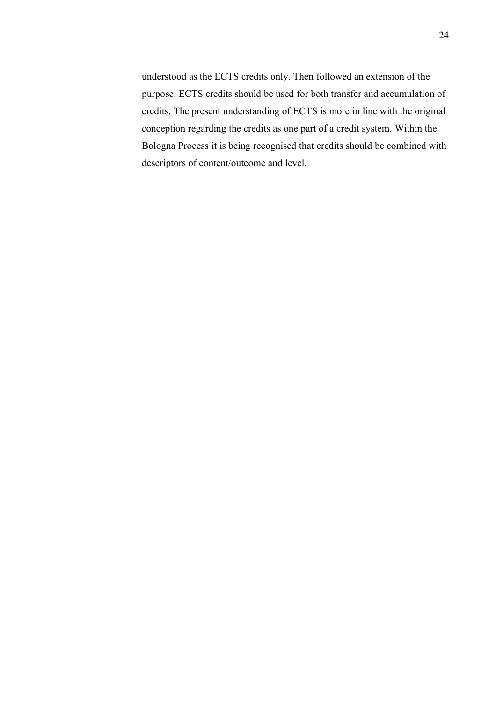understood as the ECTS credits only. Then followed an extension of the purpose. ECTS credits should be used for both transfer and accumulation of credits. The present understanding of ECTS is more in line with the original conception regarding the credits as one part of a credit system. Within the Bologna Process it is being recognised that credits should be combined with descriptors of content/outcome and level.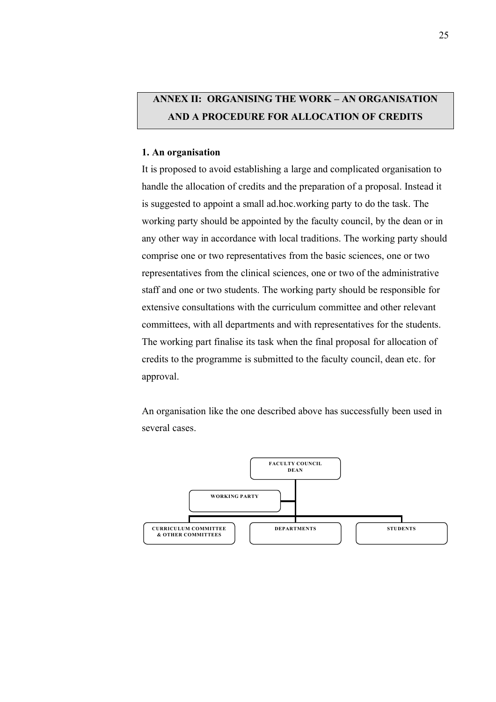# **ANNEX II: ORGANISING THE WORK – AN ORGANISATION AND A PROCEDURE FOR ALLOCATION OF CREDITS**

#### **1. An organisation**

It is proposed to avoid establishing a large and complicated organisation to handle the allocation of credits and the preparation of a proposal. Instead it is suggested to appoint a small ad.hoc.working party to do the task. The working party should be appointed by the faculty council, by the dean or in any other way in accordance with local traditions. The working party should comprise one or two representatives from the basic sciences, one or two representatives from the clinical sciences, one or two of the administrative staff and one or two students. The working party should be responsible for extensive consultations with the curriculum committee and other relevant committees, with all departments and with representatives for the students. The working part finalise its task when the final proposal for allocation of credits to the programme is submitted to the faculty council, dean etc. for approval.

An organisation like the one described above has successfully been used in several cases.

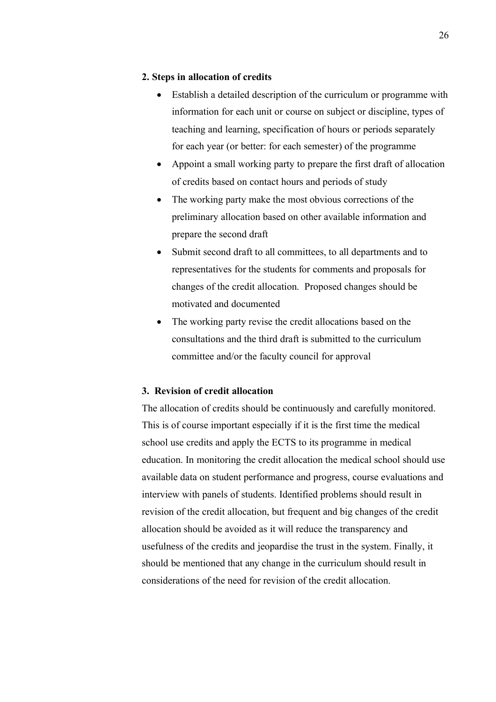#### **2. Steps in allocation of credits**

- Establish a detailed description of the curriculum or programme with information for each unit or course on subject or discipline, types of teaching and learning, specification of hours or periods separately for each year (or better: for each semester) of the programme
- Appoint a small working party to prepare the first draft of allocation of credits based on contact hours and periods of study
- The working party make the most obvious corrections of the preliminary allocation based on other available information and prepare the second draft
- Submit second draft to all committees, to all departments and to representatives for the students for comments and proposals for changes of the credit allocation. Proposed changes should be motivated and documented
- The working party revise the credit allocations based on the consultations and the third draft is submitted to the curriculum committee and/or the faculty council for approval

#### **3. Revision of credit allocation**

The allocation of credits should be continuously and carefully monitored. This is of course important especially if it is the first time the medical school use credits and apply the ECTS to its programme in medical education. In monitoring the credit allocation the medical school should use available data on student performance and progress, course evaluations and interview with panels of students. Identified problems should result in revision of the credit allocation, but frequent and big changes of the credit allocation should be avoided as it will reduce the transparency and usefulness of the credits and jeopardise the trust in the system. Finally, it should be mentioned that any change in the curriculum should result in considerations of the need for revision of the credit allocation.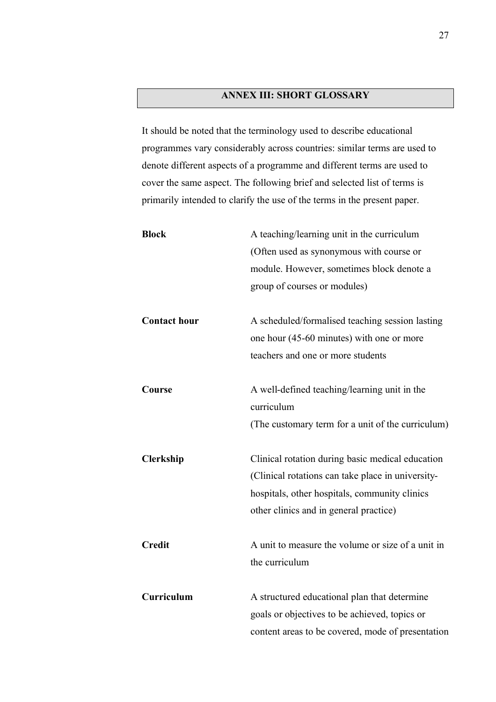### **ANNEX III: SHORT GLOSSARY**

It should be noted that the terminology used to describe educational programmes vary considerably across countries: similar terms are used to denote different aspects of a programme and different terms are used to cover the same aspect. The following brief and selected list of terms is primarily intended to clarify the use of the terms in the present paper.

| <b>Block</b>        | A teaching/learning unit in the curriculum<br>(Often used as synonymous with course or<br>module. However, sometimes block denote a<br>group of courses or modules)                              |
|---------------------|--------------------------------------------------------------------------------------------------------------------------------------------------------------------------------------------------|
| <b>Contact hour</b> | A scheduled/formalised teaching session lasting<br>one hour (45-60 minutes) with one or more<br>teachers and one or more students                                                                |
| Course              | A well-defined teaching/learning unit in the<br>curriculum<br>(The customary term for a unit of the curriculum)                                                                                  |
| <b>Clerkship</b>    | Clinical rotation during basic medical education<br>(Clinical rotations can take place in university-<br>hospitals, other hospitals, community clinics<br>other clinics and in general practice) |
| <b>Credit</b>       | A unit to measure the volume or size of a unit in<br>the curriculum                                                                                                                              |
| Curriculum          | A structured educational plan that determine<br>goals or objectives to be achieved, topics or<br>content areas to be covered, mode of presentation                                               |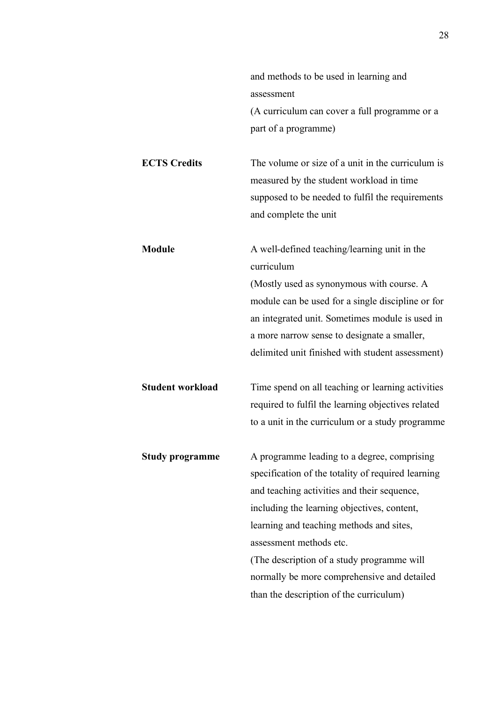|                         | and methods to be used in learning and             |
|-------------------------|----------------------------------------------------|
|                         | assessment                                         |
|                         | (A curriculum can cover a full programme or a      |
|                         | part of a programme)                               |
|                         |                                                    |
| <b>ECTS Credits</b>     | The volume or size of a unit in the curriculum is  |
|                         | measured by the student workload in time           |
|                         | supposed to be needed to fulfil the requirements   |
|                         | and complete the unit                              |
| <b>Module</b>           | A well-defined teaching/learning unit in the       |
|                         | curriculum                                         |
|                         | (Mostly used as synonymous with course. A          |
|                         | module can be used for a single discipline or for  |
|                         | an integrated unit. Sometimes module is used in    |
|                         | a more narrow sense to designate a smaller,        |
|                         | delimited unit finished with student assessment)   |
| <b>Student workload</b> | Time spend on all teaching or learning activities  |
|                         | required to fulfil the learning objectives related |
|                         | to a unit in the curriculum or a study programme   |
| <b>Study programme</b>  | A programme leading to a degree, comprising        |
|                         | specification of the totality of required learning |
|                         | and teaching activities and their sequence,        |
|                         | including the learning objectives, content,        |
|                         | learning and teaching methods and sites,           |
|                         | assessment methods etc.                            |
|                         | (The description of a study programme will         |
|                         | normally be more comprehensive and detailed        |
|                         | than the description of the curriculum)            |
|                         |                                                    |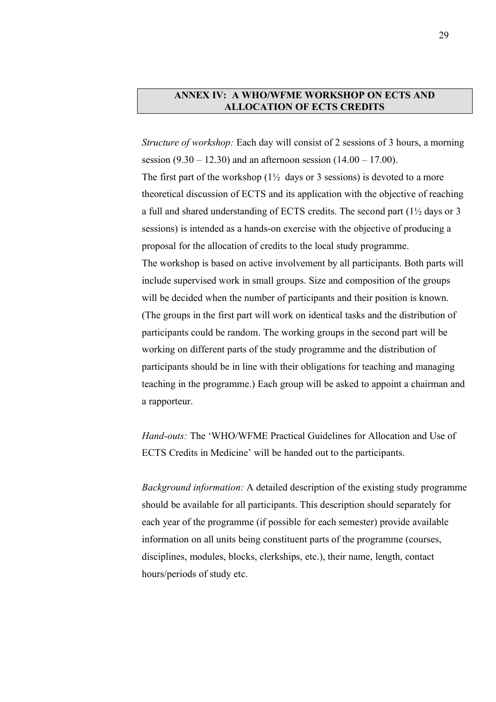#### **ANNEX IV: A WHO/WFME WORKSHOP ON ECTS AND ALLOCATION OF ECTS CREDITS**

*Structure of workshop:* Each day will consist of 2 sessions of 3 hours, a morning session  $(9.30 - 12.30)$  and an afternoon session  $(14.00 - 17.00)$ . The first part of the workshop  $(1\frac{1}{2})$  days or 3 sessions) is devoted to a more theoretical discussion of ECTS and its application with the objective of reaching a full and shared understanding of ECTS credits. The second part (1½ days or 3 sessions) is intended as a hands-on exercise with the objective of producing a proposal for the allocation of credits to the local study programme. The workshop is based on active involvement by all participants. Both parts will include supervised work in small groups. Size and composition of the groups will be decided when the number of participants and their position is known. (The groups in the first part will work on identical tasks and the distribution of participants could be random. The working groups in the second part will be working on different parts of the study programme and the distribution of participants should be in line with their obligations for teaching and managing teaching in the programme.) Each group will be asked to appoint a chairman and a rapporteur.

*Hand-outs:* The 'WHO/WFME Practical Guidelines for Allocation and Use of ECTS Credits in Medicine' will be handed out to the participants.

*Background information:* A detailed description of the existing study programme should be available for all participants. This description should separately for each year of the programme (if possible for each semester) provide available information on all units being constituent parts of the programme (courses, disciplines, modules, blocks, clerkships, etc.), their name, length, contact hours/periods of study etc.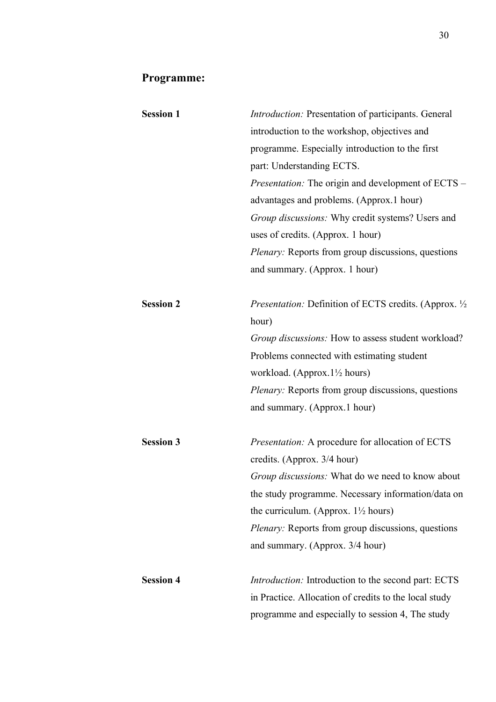# **Programme:**

| <b>Session 1</b> | <i>Introduction:</i> Presentation of participants. General     |
|------------------|----------------------------------------------------------------|
|                  | introduction to the workshop, objectives and                   |
|                  | programme. Especially introduction to the first                |
|                  | part: Understanding ECTS.                                      |
|                  | <i>Presentation:</i> The origin and development of ECTS –      |
|                  | advantages and problems. (Approx.1 hour)                       |
|                  | Group discussions: Why credit systems? Users and               |
|                  | uses of credits. (Approx. 1 hour)                              |
|                  | <i>Plenary:</i> Reports from group discussions, questions      |
|                  | and summary. (Approx. 1 hour)                                  |
| <b>Session 2</b> | <i>Presentation:</i> Definition of ECTS credits. (Approx. 1/2) |
|                  | hour)                                                          |
|                  | Group discussions: How to assess student workload?             |
|                  | Problems connected with estimating student                     |
|                  | workload. (Approx.1 <sup>1</sup> / <sub>2</sub> hours)         |
|                  | <i>Plenary:</i> Reports from group discussions, questions      |
|                  | and summary. (Approx.1 hour)                                   |
| <b>Session 3</b> | Presentation: A procedure for allocation of ECTS               |
|                  | credits. (Approx. 3/4 hour)                                    |
|                  | <i>Group discussions:</i> What do we need to know about        |
|                  | the study programme. Necessary information/data on             |
|                  | the curriculum. (Approx. $1\frac{1}{2}$ hours)                 |
|                  | Plenary: Reports from group discussions, questions             |
|                  | and summary. (Approx. 3/4 hour)                                |
| <b>Session 4</b> | <i>Introduction:</i> Introduction to the second part: ECTS     |
|                  | in Practice. Allocation of credits to the local study          |
|                  | programme and especially to session 4, The study               |